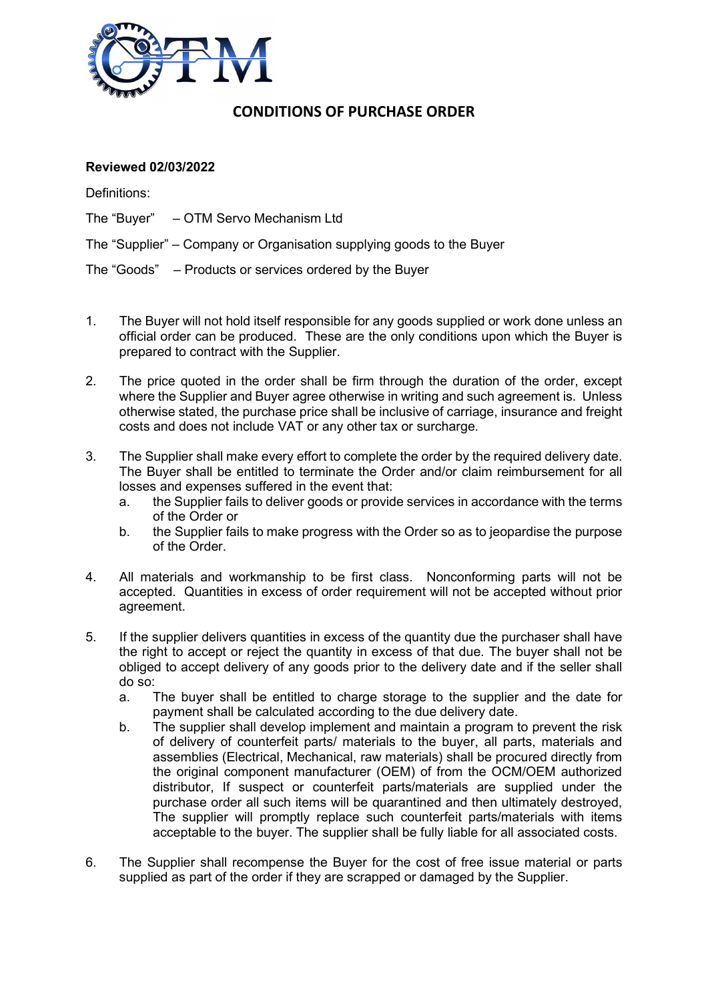

## CONDITIONS OF PURCHASE ORDER

## Reviewed 02/03/2022

Definitions:

The "Buyer" – OTM Servo Mechanism Ltd

The "Supplier" – Company or Organisation supplying goods to the Buyer

The "Goods" – Products or services ordered by the Buyer

- 1. The Buyer will not hold itself responsible for any goods supplied or work done unless an official order can be produced. These are the only conditions upon which the Buyer is prepared to contract with the Supplier.
- 2. The price quoted in the order shall be firm through the duration of the order, except where the Supplier and Buyer agree otherwise in writing and such agreement is. Unless otherwise stated, the purchase price shall be inclusive of carriage, insurance and freight costs and does not include VAT or any other tax or surcharge.
- 3. The Supplier shall make every effort to complete the order by the required delivery date. The Buyer shall be entitled to terminate the Order and/or claim reimbursement for all losses and expenses suffered in the event that:
	- a. the Supplier fails to deliver goods or provide services in accordance with the terms of the Order or
	- b. the Supplier fails to make progress with the Order so as to jeopardise the purpose of the Order.
- 4. All materials and workmanship to be first class. Nonconforming parts will not be accepted. Quantities in excess of order requirement will not be accepted without prior agreement.
- 5. If the supplier delivers quantities in excess of the quantity due the purchaser shall have the right to accept or reject the quantity in excess of that due. The buyer shall not be obliged to accept delivery of any goods prior to the delivery date and if the seller shall do so:
	- a. The buyer shall be entitled to charge storage to the supplier and the date for payment shall be calculated according to the due delivery date.
	- b. The supplier shall develop implement and maintain a program to prevent the risk of delivery of counterfeit parts/ materials to the buyer, all parts, materials and assemblies (Electrical, Mechanical, raw materials) shall be procured directly from the original component manufacturer (OEM) of from the OCM/OEM authorized distributor, If suspect or counterfeit parts/materials are supplied under the purchase order all such items will be quarantined and then ultimately destroyed, The supplier will promptly replace such counterfeit parts/materials with items acceptable to the buyer. The supplier shall be fully liable for all associated costs.
- 6. The Supplier shall recompense the Buyer for the cost of free issue material or parts supplied as part of the order if they are scrapped or damaged by the Supplier.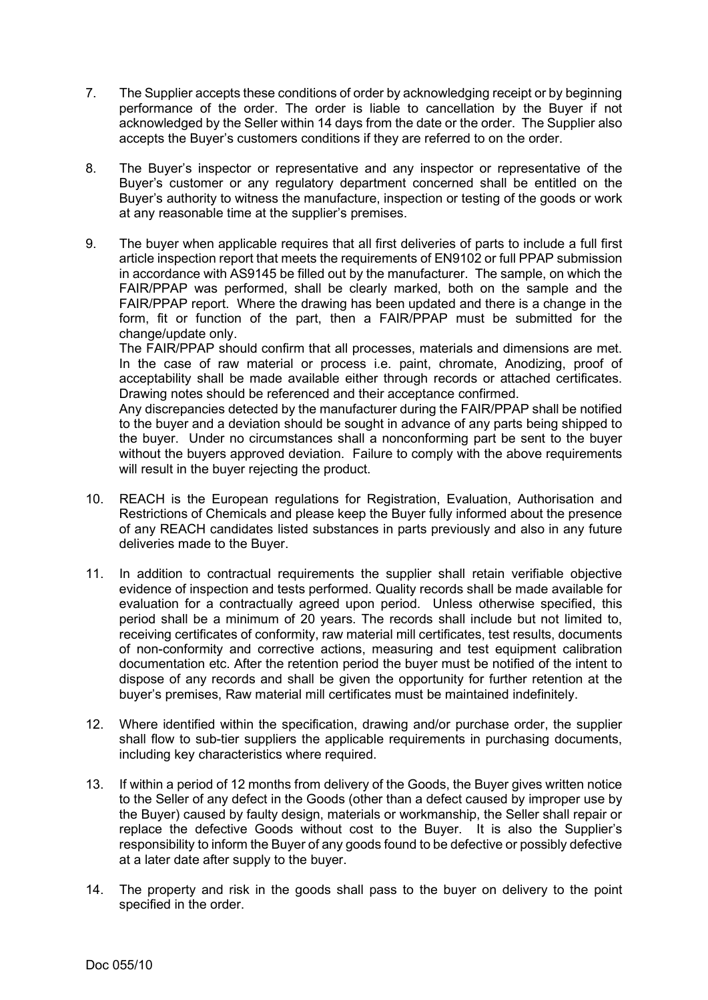- 7. The Supplier accepts these conditions of order by acknowledging receipt or by beginning performance of the order. The order is liable to cancellation by the Buyer if not acknowledged by the Seller within 14 days from the date or the order. The Supplier also accepts the Buyer's customers conditions if they are referred to on the order.
- 8. The Buyer's inspector or representative and any inspector or representative of the Buyer's customer or any regulatory department concerned shall be entitled on the Buyer's authority to witness the manufacture, inspection or testing of the goods or work at any reasonable time at the supplier's premises.
- 9. The buyer when applicable requires that all first deliveries of parts to include a full first article inspection report that meets the requirements of EN9102 or full PPAP submission in accordance with AS9145 be filled out by the manufacturer. The sample, on which the FAIR/PPAP was performed, shall be clearly marked, both on the sample and the FAIR/PPAP report. Where the drawing has been updated and there is a change in the form, fit or function of the part, then a FAIR/PPAP must be submitted for the change/update only.

The FAIR/PPAP should confirm that all processes, materials and dimensions are met. In the case of raw material or process i.e. paint, chromate, Anodizing, proof of acceptability shall be made available either through records or attached certificates. Drawing notes should be referenced and their acceptance confirmed.

Any discrepancies detected by the manufacturer during the FAIR/PPAP shall be notified to the buyer and a deviation should be sought in advance of any parts being shipped to the buyer. Under no circumstances shall a nonconforming part be sent to the buyer without the buyers approved deviation. Failure to comply with the above requirements will result in the buyer rejecting the product.

- 10. REACH is the European regulations for Registration, Evaluation, Authorisation and Restrictions of Chemicals and please keep the Buyer fully informed about the presence of any REACH candidates listed substances in parts previously and also in any future deliveries made to the Buyer.
- 11. In addition to contractual requirements the supplier shall retain verifiable objective evidence of inspection and tests performed. Quality records shall be made available for evaluation for a contractually agreed upon period. Unless otherwise specified, this period shall be a minimum of 20 years. The records shall include but not limited to, receiving certificates of conformity, raw material mill certificates, test results, documents of non-conformity and corrective actions, measuring and test equipment calibration documentation etc. After the retention period the buyer must be notified of the intent to dispose of any records and shall be given the opportunity for further retention at the buyer's premises, Raw material mill certificates must be maintained indefinitely.
- 12. Where identified within the specification, drawing and/or purchase order, the supplier shall flow to sub-tier suppliers the applicable requirements in purchasing documents, including key characteristics where required.
- 13. If within a period of 12 months from delivery of the Goods, the Buyer gives written notice to the Seller of any defect in the Goods (other than a defect caused by improper use by the Buyer) caused by faulty design, materials or workmanship, the Seller shall repair or replace the defective Goods without cost to the Buyer. It is also the Supplier's responsibility to inform the Buyer of any goods found to be defective or possibly defective at a later date after supply to the buyer.
- 14. The property and risk in the goods shall pass to the buyer on delivery to the point specified in the order.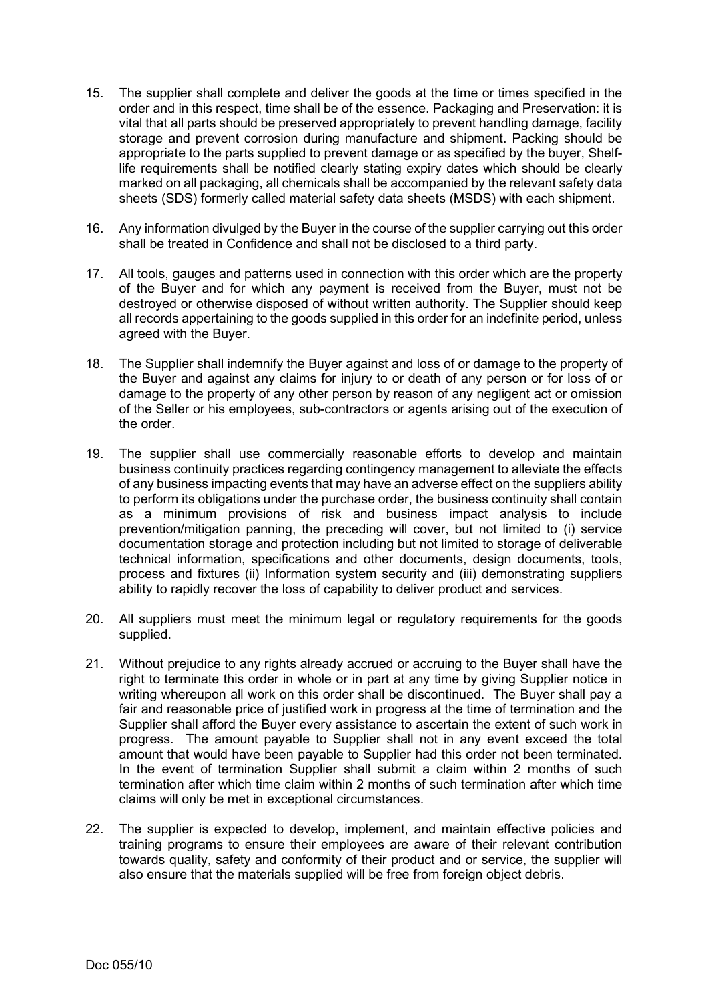- 15. The supplier shall complete and deliver the goods at the time or times specified in the order and in this respect, time shall be of the essence. Packaging and Preservation: it is vital that all parts should be preserved appropriately to prevent handling damage, facility storage and prevent corrosion during manufacture and shipment. Packing should be appropriate to the parts supplied to prevent damage or as specified by the buyer, Shelflife requirements shall be notified clearly stating expiry dates which should be clearly marked on all packaging, all chemicals shall be accompanied by the relevant safety data sheets (SDS) formerly called material safety data sheets (MSDS) with each shipment.
- 16. Any information divulged by the Buyer in the course of the supplier carrying out this order shall be treated in Confidence and shall not be disclosed to a third party.
- 17. All tools, gauges and patterns used in connection with this order which are the property of the Buyer and for which any payment is received from the Buyer, must not be destroyed or otherwise disposed of without written authority. The Supplier should keep all records appertaining to the goods supplied in this order for an indefinite period, unless agreed with the Buyer.
- 18. The Supplier shall indemnify the Buyer against and loss of or damage to the property of the Buyer and against any claims for injury to or death of any person or for loss of or damage to the property of any other person by reason of any negligent act or omission of the Seller or his employees, sub-contractors or agents arising out of the execution of the order.
- 19. The supplier shall use commercially reasonable efforts to develop and maintain business continuity practices regarding contingency management to alleviate the effects of any business impacting events that may have an adverse effect on the suppliers ability to perform its obligations under the purchase order, the business continuity shall contain as a minimum provisions of risk and business impact analysis to include prevention/mitigation panning, the preceding will cover, but not limited to (i) service documentation storage and protection including but not limited to storage of deliverable technical information, specifications and other documents, design documents, tools, process and fixtures (ii) Information system security and (iii) demonstrating suppliers ability to rapidly recover the loss of capability to deliver product and services.
- 20. All suppliers must meet the minimum legal or regulatory requirements for the goods supplied.
- 21. Without prejudice to any rights already accrued or accruing to the Buyer shall have the right to terminate this order in whole or in part at any time by giving Supplier notice in writing whereupon all work on this order shall be discontinued. The Buyer shall pay a fair and reasonable price of justified work in progress at the time of termination and the Supplier shall afford the Buyer every assistance to ascertain the extent of such work in progress. The amount payable to Supplier shall not in any event exceed the total amount that would have been payable to Supplier had this order not been terminated. In the event of termination Supplier shall submit a claim within 2 months of such termination after which time claim within 2 months of such termination after which time claims will only be met in exceptional circumstances.
- 22. The supplier is expected to develop, implement, and maintain effective policies and training programs to ensure their employees are aware of their relevant contribution towards quality, safety and conformity of their product and or service, the supplier will also ensure that the materials supplied will be free from foreign object debris.